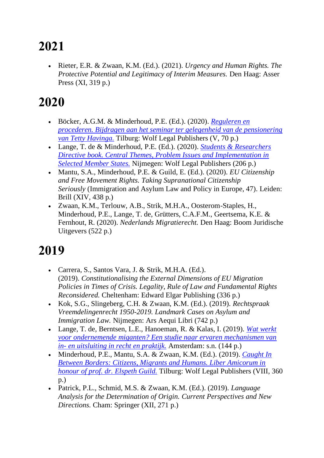• Rieter, E.R. & Zwaan, K.M. (Ed.). (2021). *Urgency and Human Rights. The Protective Potential and Legitimacy of Interim Measures.* Den Haag: Asser Press (XI, 319 p.)

### **2020**

- Böcker, A.G.M. & Minderhoud, P.E. (Ed.). (2020). *[Reguleren en](https://hdl.handle.net/2066/214705)  [procederen. Bijdragen aan het seminar ter gelegenheid van de pensionering](https://hdl.handle.net/2066/214705)  [van Tetty Havinga.](https://hdl.handle.net/2066/214705)* Tilburg: Wolf Legal Publishers (V, 70 p.)
- Lange, T. de & Minderhoud, P.E. (Ed.). (2020). *[Students & Researchers](https://hdl.handle.net/2066/226997)  [Directive book. Central Themes, Problem Issues and Implementation in](https://hdl.handle.net/2066/226997)  [Selected Member States.](https://hdl.handle.net/2066/226997)* Nijmegen: Wolf Legal Publishers (206 p.)
- Mantu, S.A., Minderhoud, P.E. & Guild, E. (Ed.). (2020). *EU Citizenship and Free Movement Rights. Taking Supranational Citizenship Seriously* (Immigration and Asylum Law and Policy in Europe, 47). Leiden: Brill (XIV, 438 p.)
- Zwaan, K.M., Terlouw, A.B., Strik, M.H.A., Oosterom-Staples, H., Minderhoud, P.E., Lange, T. de, Grütters, C.A.F.M., Geertsema, K.E. & Fernhout, R. (2020). *Nederlands Migratierecht.* Den Haag: Boom Juridische Uitgevers (522 p.)

- Carrera, S., Santos Vara, J. & Strik, M.H.A. (Ed.). (2019). *Constitutionalising the External Dimensions of EU Migration Policies in Times of Crisis. Legality, Rule of Law and Fundamental Rights Reconsidered.* Cheltenham: Edward Elgar Publishing (336 p.)
- Kok, S.G., Slingeberg, C.H. & Zwaan, K.M. (Ed.). (2019). *Rechtspraak Vreemdelingenrecht 1950-2019. Landmark Cases on Asylum and Immigration Law.* Nijmegen: Ars Aequi Libri (742 p.)
- Lange, T. de, Berntsen, L.E., Hanoeman, R. & Kalas, I. (2019). *[Wat werkt](https://hdl.handle.net/2066/214704)  [voor ondernemende miganten? Een studie naar ervaren mechanismen van](https://hdl.handle.net/2066/214704)  in- [en uitsluiting in recht en praktijk.](https://hdl.handle.net/2066/214704)* Amsterdam: s.n. (144 p.)
- Minderhoud, P.E., Mantu, S.A. & Zwaan, K.M. (Ed.). (2019). *[Caught In](https://hdl.handle.net/2066/207626)  [Between Borders: Citizens, Migrants and Humans. Liber Amicorum in](https://hdl.handle.net/2066/207626)  [honour of prof. dr. Elspeth Guild.](https://hdl.handle.net/2066/207626)* Tilburg: Wolf Legal Publishers (VIII, 360 p.)
- Patrick, P.L., Schmid, M.S. & Zwaan, K.M. (Ed.). (2019). *Language Analysis for the Determination of Origin. Current Perspectives and New Directions.* Cham: Springer (XII, 271 p.)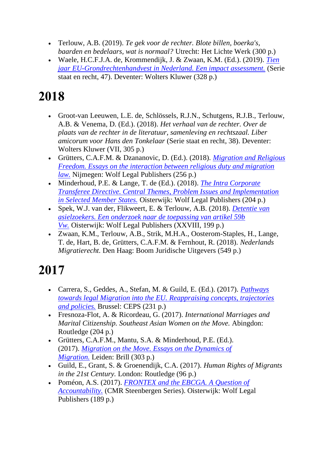- Terlouw, A.B. (2019). *Te gek voor de rechter. Blote billen, boerka's, baarden en bedelaars, wat is normaal?* Utrecht: Het Lichte Werk (300 p.)
- Waele, H.C.F.J.A. de, Krommendijk, J. & Zwaan, K.M. (Ed.). (2019). *[Tien](https://hdl.handle.net/2066/212534)  [jaar EU-Grondrechtenhandvest in Nederland. Een impact assessment.](https://hdl.handle.net/2066/212534)* (Serie staat en recht, 47). Deventer: Wolters Kluwer (328 p.)

- Groot-van Leeuwen, L.E. de, Schlössels, R.J.N., Schutgens, R.J.B., Terlouw, A.B. & Venema, D. (Ed.). (2018). *Het verhaal van de rechter. Over de plaats van de rechter in de literatuur, samenleving en rechtszaal. Liber amicorum voor Hans den Tonkelaar* (Serie staat en recht, 38). Deventer: Wolters Kluwer (VII, 305 p.)
- Grütters, C.A.F.M. & Dzananovic, D. (Ed.). (2018). *[Migration and Religious](http://hdl.handle.net/2066/190454)  [Freedom. Essays on the interaction between religious duty and migration](http://hdl.handle.net/2066/190454)  [law.](http://hdl.handle.net/2066/190454)* Nijmegen: Wolf Legal Publishers (256 p.)
- Minderhoud, P.E. & Lange, T. de (Ed.). (2018). *[The Intra Corporate](https://hdl.handle.net/2066/194519)  [Transferee Directive. Central Themes, Problem Issues and Implementation](https://hdl.handle.net/2066/194519)  [in Selected Member States.](https://hdl.handle.net/2066/194519)* Oisterwijk: Wolf Legal Publishers (204 p.)
- Spek, W.J. van der, Flikweert, E. & Terlouw, A.B. (2018). *[Detentie van](http://hdl.handle.net/2066/183453)  [asielzoekers. Een onderzoek naar de toepassing van artikel 59b](http://hdl.handle.net/2066/183453)  [Vw.](http://hdl.handle.net/2066/183453)* Oisterwijk: Wolf Legal Publishers (XXVIII, 199 p.)
- Zwaan, K.M., Terlouw, A.B., Strik, M.H.A., Oosterom-Staples, H., Lange, T. de, Hart, B. de, Grütters, C.A.F.M. & Fernhout, R. (2018). *Nederlands Migratierecht.* Den Haag: Boom Juridische Uitgevers (549 p.)

- Carrera, S., Geddes, A., Stefan, M. & Guild, E. (Ed.). (2017). *[Pathways](https://www.ceps.eu/system/files/PathwaysLegalMigration_0.pdf)  [towards legal Migration into the EU. Reappraising concepts, trajectories](https://www.ceps.eu/system/files/PathwaysLegalMigration_0.pdf)  [and policies.](https://www.ceps.eu/system/files/PathwaysLegalMigration_0.pdf)* Brussel: CEPS (231 p.)
- Fresnoza-Flot, A. & Ricordeau, G. (2017). *International Marriages and Marital Citizenship. Southeast Asian Women on the Move.* Abingdon: Routledge (204 p.)
- Grütters, C.A.F.M., Mantu, S.A. & Minderhoud, P.E. (Ed.). (2017). *[Migration on the Move. Essays on the Dynamics of](https://hdl.handle.net/2066/173856)  [Migration.](https://hdl.handle.net/2066/173856)* Leiden: Brill (303 p.)
- Guild, E., Grant, S. & Groenendijk, C.A. (2017). *Human Rights of Migrants in the 21st Century.* London: Routledge (96 p.)
- Poméon, A.S. (2017). *[FRONTEX and the EBCGA. A Question of](http://hdl.handle.net/2066/167602)  [Accountability.](http://hdl.handle.net/2066/167602)* (CMR Steenbergen Series). Oisterwijk: Wolf Legal Publishers (189 p.)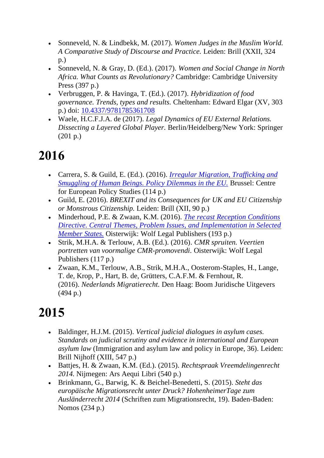- Sonneveld, N. & Lindbekk, M. (2017). *Women Judges in the Muslim World. A Comparative Study of Discourse and Practice.* Leiden: Brill (XXII, 324 p.)
- Sonneveld, N. & Gray, D. (Ed.). (2017). *Women and Social Change in North Africa. What Counts as Revolutionary?* Cambridge: Cambridge University Press (397 p.)
- Verbruggen, P. & Havinga, T. (Ed.). (2017). *Hybridization of food governance. Trends, types and results.* Cheltenham: Edward Elgar (XV, 303 p.) doi: [10.4337/9781785361708](https://doi.org/10.4337/9781785361708)
- Waele, H.C.F.J.A. de (2017). *Legal Dynamics of EU External Relations. Dissecting a Layered Global Player.* Berlin/Heidelberg/New York: Springer (201 p.)

- Carrera, S. & Guild, E. (Ed.). (2016). *[Irregular Migration, Trafficking and](https://www.ceps.eu/system/files/Irregular%20Migration,%20Trafficking%20and%20SmugglingwithCovers.pdf)  [Smuggling of Human Beings. Policy Dilemmas in the EU.](https://www.ceps.eu/system/files/Irregular%20Migration,%20Trafficking%20and%20SmugglingwithCovers.pdf)* Brussel: Centre for European Policy Studies (114 p.)
- Guild, E. (2016). *BREXIT and its Consequences for UK and EU Citizenship or Monstrous Citizenship.* Leiden: Brill (XII, 90 p.)
- Minderhoud, P.E. & Zwaan, K.M. (2016). *[The recast Reception Conditions](http://hdl.handle.net/2066/163420)  [Directive. Central Themes, Problem Issues, and Implementation in Selected](http://hdl.handle.net/2066/163420)  [Member States.](http://hdl.handle.net/2066/163420)* Oisterwijk: Wolf Legal Publishers (193 p.)
- Strik, M.H.A. & Terlouw, A.B. (Ed.). (2016). *CMR spruiten. Veertien portretten van voormalige CMR-promovendi.* Oisterwijk: Wolf Legal Publishers (117 p.)
- Zwaan, K.M., Terlouw, A.B., Strik, M.H.A., Oosterom-Staples, H., Lange, T. de, Krop, P., Hart, B. de, Grütters, C.A.F.M. & Fernhout, R. (2016). *Nederlands Migratierecht.* Den Haag: Boom Juridische Uitgevers (494 p.)

- Baldinger, H.J.M. (2015). *Vertical judicial dialogues in asylum cases. Standards on judicial scrutiny and evidence in international and European asylum law* (Immigration and asylum law and policy in Europe, 36). Leiden: Brill Nijhoff (XIII, 547 p.)
- Battjes, H. & Zwaan, K.M. (Ed.). (2015). *Rechtspraak Vreemdelingenrecht 2014.* Nijmegen: Ars Aequi Libri (540 p.)
- Brinkmann, G., Barwig, K. & Beichel-Benedetti, S. (2015). *Steht das europäische Migrationsrecht unter Druck? HohenheimerTage zum Ausländerrecht 2014* (Schriften zum Migrationsrecht, 19). Baden-Baden: Nomos (234 p.)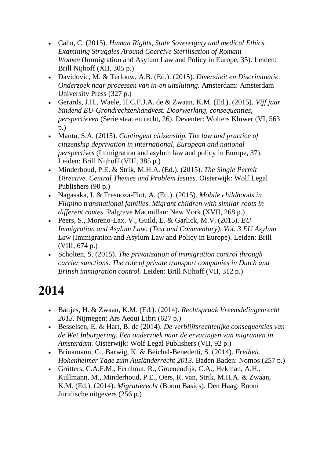- Cahn, C. (2015). *Human Rights, State Sovereignty and medical Ethics. Examining Struggles Around Coercive Sterilisation of Romani Women* (Immigration and Asylum Law and Policy in Europe, 35). Leiden: Brill Nijhoff (XII, 305 p.)
- Davidovic, M. & Terlouw, A.B. (Ed.). (2015). *Diversiteit en Discriminatie. Onderzoek naar processen van in-en uitsluiting.* Amsterdam: Amsterdam University Press (327 p.)
- Gerards, J.H., Waele, H.C.F.J.A. de & Zwaan, K.M. (Ed.). (2015). *Vijf jaar bindend EU-Grondrechtenhandvest. Doorwerking, consequenties, perspectieven* (Serie staat en recht, 26). Deventer: Wolters Kluwer (VI, 563 p.)
- Mantu, S.A. (2015). *Contingent citizenship. The law and practice of citizenship deprivation in international, European and national perspectives* (Immigration and asylum law and policy in Europe, 37). Leiden: Brill Nijhoff (VIII, 385 p.)
- Minderhoud, P.E. & Strik, M.H.A. (Ed.). (2015). *The Single Permit Directive. Central Themes and Problem Issues.* Oisterwijk: Wolf Legal Publishers (90 p.)
- Nagasaka, I. & Fresnoza-Flot, A. (Ed.). (2015). *Mobile childhoods in Filipino transnational families. Migrant children with similar roots in different routes.* Palgrave Macmillan: New York (XVII, 268 p.)
- Peers, S., Moreno-Lax, V., Guild, E. & Garlick, M.V. (2015). *EU Immigration and Asylum Law: (Text and Commentary). Vol. 3 EU Asylum Law* (Immigration and Asylum Law and Policy in Europe). Leiden: Brill (VIII, 674 p.)
- Scholten, S. (2015). *The privatisation of immigration control through carrier sanctions. The role of private transport companies in Dutch and British immigration control.* Leiden: Brill Nijhoff (VII, 312 p.)

- Battjes, H. & Zwaan, K.M. (Ed.). (2014). *Rechtspraak Vreemdelingenrecht 2013.* Nijmegen: Ars Aequi Libri (627 p.)
- Besselsen, E. & Hart, B. de (2014). *De verblijfsrechtelijke consequenties van de Wet Inburgering. Een onderzoek naar de ervaringen van migranten in Amsterdam.* Oisterwijk: Wolf Legal Publishers (VII, 92 p.)
- Brinkmann, G., Barwig, K. & Beichel-Benedetti, S. (2014). *Freiheit. Hohenheimer Tage zum Ausländerrecht 2013.* Baden Baden: Nomos (257 p.)
- Grütters, C.A.F.M., Fernhout, R., Groenendijk, C.A., Hekman, A.H., Kullmann, M., Minderhoud, P.E., Oers, R. van, Strik, M.H.A. & Zwaan, K.M. (Ed.). (2014). *Migratierecht* (Boom Basics). Den Haag: Boom Juridische uitgevers (256 p.)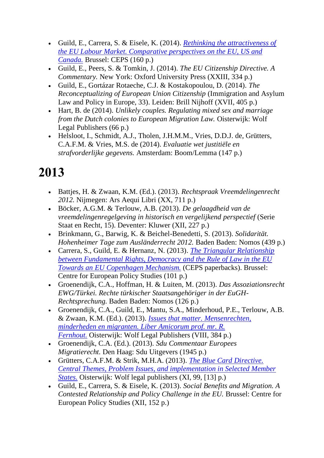- Guild, E., Carrera, S. & Eisele, K. (2014). *[Rethinking the attractiveness of](http://www.ceps.eu/system/files/RETHINKING%20LABOUR%20IMMIGRATION%20POLICIES_withcover_0.pdf)  [the EU Labour Market. Comparative perspectives on the EU, US and](http://www.ceps.eu/system/files/RETHINKING%20LABOUR%20IMMIGRATION%20POLICIES_withcover_0.pdf)  [Canada.](http://www.ceps.eu/system/files/RETHINKING%20LABOUR%20IMMIGRATION%20POLICIES_withcover_0.pdf)* Brussel: CEPS (160 p.)
- Guild, E., Peers, S. & Tomkin, J. (2014). *The EU Citizenship Directive. A Commentary.* New York: Oxford University Press (XXIII, 334 p.)
- Guild, E., Gortázar Rotaeche, C.J. & Kostakopoulou, D. (2014). *The Reconceptualizing of European Union Citizenship* (Immigration and Asylum Law and Policy in Europe, 33). Leiden: Brill Nijhoff (XVII, 405 p.)
- Hart, B. de (2014). *Unlikely couples. Regulating mixed sex and marriage from the Dutch colonies to European Migration Law.* Oisterwijk: Wolf Legal Publishers (66 p.)
- Helsloot, I., Schmidt, A.J., Tholen, J.H.M.M., Vries, D.D.J. de, Grütters, C.A.F.M. & Vries, M.S. de (2014). *Evaluatie wet justitiële en strafvorderlijke gegevens.* Amsterdam: Boom/Lemma (147 p.)

- Battjes, H. & Zwaan, K.M. (Ed.). (2013). *Rechtspraak Vreemdelingenrecht 2012.* Nijmegen: Ars Aequi Libri (XX, 711 p.)
- Böcker, A.G.M. & Terlouw, A.B. (2013). *De gelaagdheid van de vreemdelingenregelgeving in historisch en vergelijkend perspectief* (Serie Staat en Recht, 15). Deventer: Kluwer (XII, 227 p.)
- Brinkmann, G., Barwig, K. & Beichel-Benedetti, S. (2013). *Solidarität. Hohenheimer Tage zum Ausländerrecht 2012.* Baden Baden: Nomos (439 p.)
- Carrera, S., Guild, E. & Hernanz, N. (2013). *[The Triangular Relationship](http://www.ceps.be/book/triangular-relationship-between-fundamental-rights-democracy-and-rule-law-eu-towards-eu-copenha)  [between Fundamental Rights, Democracy and the Rule of Law in the EU](http://www.ceps.be/book/triangular-relationship-between-fundamental-rights-democracy-and-rule-law-eu-towards-eu-copenha)  Towards an [EU Copenhagen Mechanism.](http://www.ceps.be/book/triangular-relationship-between-fundamental-rights-democracy-and-rule-law-eu-towards-eu-copenha)* (CEPS paperbacks). Brussel: Centre for European Policy Studies (101 p.)
- Groenendijk, C.A., Hoffman, H. & Luiten, M. (2013). *Das Assoziationsrecht EWG/Türkei. Rechte türkischer Staatsangehöriger in der EuGH-Rechtsprechung.* Baden Baden: Nomos (126 p.)
- Groenendijk, C.A., Guild, E., Mantu, S.A., Minderhoud, P.E., Terlouw, A.B. & Zwaan, K.M. (Ed.). (2013). *[Issues that matter. Mensenrechten,](https://hdl.handle.net/2066/119693)  [minderheden en migranten. Liber Amicorum prof. mr. R.](https://hdl.handle.net/2066/119693)  [Fernhout.](https://hdl.handle.net/2066/119693)* Oisterwijk: Wolf Legal Publishers (VIII, 384 p.)
- Groenendijk, C.A. (Ed.). (2013). *Sdu Commentaar Europees Migratierecht.* Den Haag: Sdu Uitgevers (1945 p.)
- Grütters, C.A.F.M. & Strik, M.H.A. (2013). *[The Blue Card Directive.](https://hdl.handle.net/2066/115936)  [Central Themes, Problem Issues, and implementation in Selected Member](https://hdl.handle.net/2066/115936)  [States.](https://hdl.handle.net/2066/115936)* Oisterwijk: Wolf legal publishers (XI, 99, [13] p.)
- Guild, E., Carrera, S. & Eisele, K. (2013). *Social Benefits and Migration. A Contested Relationship and Policy Challenge in the EU.* Brussel: Centre for European Policy Studies (XII, 152 p.)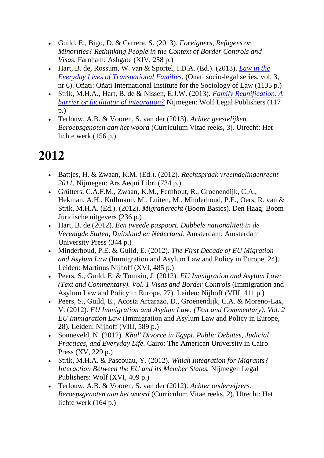- Guild, E., Bigo, D. & Carrera, S. (2013). *Foreigners, Refugees or Minorities? Rethinking People in the Context of Border Controls and Visas.* Farnham: Ashgate (XIV, 258 p.)
- Hart, B. de, Rossum, W. van & Sportel, I.D.A. (Ed.). (2013). *[Law in the](http://opo.iisj.net/index.php/osls/issue/view/27)  [Everyday Lives of Transnational Families.](http://opo.iisj.net/index.php/osls/issue/view/27)* (Onati socio-legal series, vol. 3, nr 6). Oñati: Oñati International Institute for the Sociology of Law (1135 p.)
- Strik, M.H.A., Hart, B. de & Nissen, E.J.W. (2013). *[Family Reunification. A](https://hdl.handle.net/2066/126552)  [barrier or facilitator of integration?](https://hdl.handle.net/2066/126552)* Nijmegen: Wolf Legal Publishers (117 p.)
- Terlouw, A.B. & Vooren, S. van der (2013). *Achter geestelijken. Beroepsgenoten aan het woord* (Curriculum Vitae reeks, 3). Utrecht: Het lichte werk (156 p.)

- Battjes, H. & Zwaan, K.M. (Ed.). (2012). *Rechtspraak vreemdelingenrecht 2011.* Nijmegen: Ars Aequi Libri (734 p.)
- Grütters, C.A.F.M., Zwaan, K.M., Fernhout, R., Groenendijk, C.A., Hekman, A.H., Kullmann, M., Luiten, M., Minderhoud, P.E., Oers, R. van & Strik, M.H.A. (Ed.). (2012). *Migratierecht* (Boom Basics). Den Haag: Boom Juridische uitgevers (236 p.)
- Hart, B. de (2012). *Een tweede paspoort. Dubbele nationaliteit in de Verenigde Staten, Duitsland en Nederland.* Amsterdam: Amsterdam University Press (344 p.)
- Minderhoud, P.E. & Guild, E. (2012). *The First Decade of EU Migration and Asylum Law* (Immigration and Asylum Law and Policy in Europe, 24). Leiden: Martinus Nijhoff (XVI, 485 p.)
- Peers, S., Guild, E. & Tomkin, J. (2012). *EU Immigration and Asylum Law: (Text and Commentary). Vol. 1 Visas and Border Controls* (Immigration and Asylum Law and Policy in Europe, 27). Leiden: Nijhoff (VIII, 411 p.)
- Peers, S., Guild, E., Acosta Arcarazo, D., Groenendijk, C.A. & Moreno-Lax, V. (2012). *EU Immigration and Asylum Law: (Text and Commentary). Vol. 2 EU Immigration Law* (Immigration and Asylum Law and Policy in Europe, 28). Leiden: Nijhoff (VIII, 589 p.)
- Sonneveld, N. (2012). *Khul' Divorce in Egypt. Public Debates, Judicial Practices, and Everyday Life.* Cairo: The American University in Cairo Press (XV, 229 p.)
- Strik, M.H.A. & Pascouau, Y. (2012). *Which Integration for Migrants? Interaction Between the EU and its Member States.* Nijmegen Legal Publishers: Wolf (XVI, 409 p.)
- Terlouw, A.B. & Vooren, S. van der (2012). *Achter onderwijzers. Beroepsgenoten aan het woord* (Curriculum Vitae reeks, 2). Utrecht: Het lichte werk (164 p.)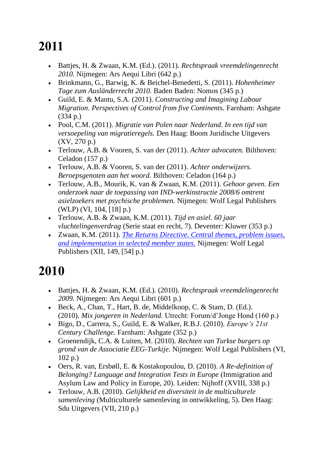- Battjes, H. & Zwaan, K.M. (Ed.). (2011). *Rechtspraak vreemdelingenrecht 2010.* Nijmegen: Ars Aequi Libri (642 p.)
- Brinkmann, G., Barwig, K. & Beichel-Benedetti, S. (2011). *Hohenheimer Tage zum Ausländerrecht 2010.* Baden Baden: Nomos (345 p.)
- Guild, E. & Mantu, S.A. (2011). *Constructing and Imagining Labour Migration. Perspectives of Control from five Continents.* Farnham: Ashgate (334 p.)
- Pool, C.M. (2011). *Migratie van Polen naar Nederland. In een tijd van versoepeling van migratieregels.* Den Haag: Boom Juridische Uitgevers (XV, 270 p.)
- Terlouw, A.B. & Vooren, S. van der (2011). *Achter advocaten.* Bilthoven: Celadon (157 p.)
- Terlouw, A.B. & Vooren, S. van der (2011). *Achter onderwijzers. Beroepsgenoten aan het woord.* Bilthoven: Celadon (164 p.)
- Terlouw, A.B., Mourik, K. van & Zwaan, K.M. (2011). *Gehoor geven. Een onderzoek naar de toepassing van IND-werkinstructie 2008/6 omtrent asielzoekers met psychische problemen.* Nijmegen: Wolf Legal Publishers (WLP) (VI, 104, [18] p.)
- Terlouw, A.B. & Zwaan, K.M. (2011). *Tijd en asiel. 60 jaar vluchtelingenverdrag* (Serie staat en recht, 7). Deventer: Kluwer (353 p.)
- Zwaan, K.M. (2011). *[The Returns Directive. Central themes, problem issues,](http://hdl.handle.net/2066/93444)  [and implementation in selected member states.](http://hdl.handle.net/2066/93444)* Nijmegen: Wolf Legal Publishers (XII, 149, [54] p.)

- Battjes, H. & Zwaan, K.M. (Ed.). (2010). *Rechtspraak vreemdelingenrecht 2009.* Nijmegen: Ars Aequi Libri (601 p.)
- Beck, A., Chan, T., Hart, B. de, Middelkoop, C. & Stam, D. (Ed.). (2010). *Mix jongeren in Nederland.* Utrecht: Forum/d'Jonge Hond (160 p.)
- Bigo, D., Carrera, S., Guild, E. & Walker, R.B.J. (2010). *Europe's 21st Century Challenge.* Farnham: Ashgate (352 p.)
- Groenendijk, C.A. & Luiten, M. (2010). *Rechten van Turkse burgers op grond van de Associatie EEG-Turkije.* Nijmegen: Wolf Legal Publishers (VI, 102 p.)
- Oers, R. van, Ersbøll, E. & Kostakopoulou, D. (2010). *A Re-definition of Belonging? Language and Integration Tests in Europe* (Immigration and Asylum Law and Policy in Europe, 20). Leiden: Nijhoff (XVIII, 338 p.)
- Terlouw, A.B. (2010). *Gelijkheid en diversiteit in de multiculturele samenleving* (Multiculturele samenleving in ontwikkeling, 5). Den Haag: Sdu Uitgevers (VII, 210 p.)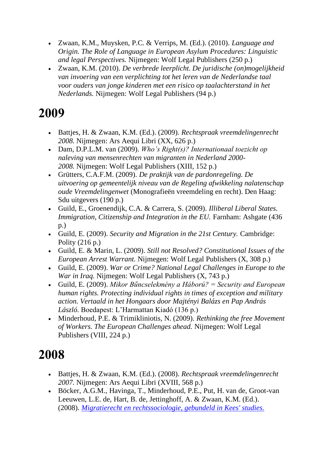- Zwaan, K.M., Muysken, P.C. & Verrips, M. (Ed.). (2010). *Language and Origin. The Role of Language in European Asylum Procedures: Linguistic and legal Perspectives.* Nijmegen: Wolf Legal Publishers (250 p.)
- Zwaan, K.M. (2010). *De verbrede leerplicht. De juridische (on)mogelijkheid van invoering van een verplichting tot het leren van de Nederlandse taal voor ouders van jonge kinderen met een risico op taalachterstand in het Nederlands.* Nijmegen: Wolf Legal Publishers (94 p.)

- Battjes, H. & Zwaan, K.M. (Ed.). (2009). *Rechtspraak vreemdelingenrecht 2008.* Nijmegen: Ars Aequi Libri (XX, 626 p.)
- Dam, D.P.L.M. van (2009). *Who's Right(s)? Internationaal toezicht op naleving van mensenrechten van migranten in Nederland 2000- 2008.* Nijmegen: Wolf Legal Publishers (XIII, 152 p.)
- Grütters, C.A.F.M. (2009). *De praktijk van de pardonregeling. De uitvoering op gemeentelijk niveau van de Regeling afwikkeling nalatenschap oude Vreemdelingenwet* (Monografieën vreemdeling en recht). Den Haag: Sdu uitgevers (190 p.)
- Guild, E., Groenendijk, C.A. & Carrera, S. (2009). *Illiberal Liberal States. Immigration, Citizenship and Integration in the EU.* Farnham: Ashgate (436 p.)
- Guild, E. (2009). *Security and Migration in the 21st Century.* Cambridge: Polity (216 p.)
- Guild, E. & Marin, L. (2009). *Still not Resolved? Constitutional Issues of the European Arrest Warrant.* Nijmegen: Wolf Legal Publishers (X, 308 p.)
- Guild, E. (2009). *War or Crime? National Legal Challenges in Europe to the War in Iraq.* Nijmegen: Wolf Legal Publishers (X, 743 p.)
- Guild, E. (2009). *Mikor Bűncselekmény a Háború? = Security and European human rights. Protecting individual rights in times of exception and military action. Vertaald in het Hongaars door Majtényi Balázs en Pap András László.* Boedapest: L'Harmattan Kiadó (136 p.)
- Minderhoud, P.E. & Trimikliniotis, N. (2009). *Rethinking the free Movement of Workers. The European Challenges ahead.* Nijmegen: Wolf Legal Publishers (VIII, 224 p.)

- Battjes, H. & Zwaan, K.M. (Ed.). (2008). *Rechtspraak vreemdelingenrecht 2007.* Nijmegen: Ars Aequi Libri (XVIII, 568 p.)
- Böcker, A.G.M., Havinga, T., Minderhoud, P.E., Put, H. van de, Groot-van Leeuwen, L.E. de, Hart, B. de, Jettinghoff, A. & Zwaan, K.M. (Ed.). (2008). *[Migratierecht en rechtssociologie, gebundeld in Kees' studies.](http://hdl.handle.net/2066/73850)*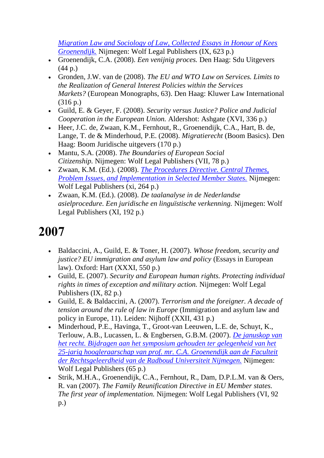*[Migration Law and Sociology of Law, Collected Essays in Honour of Kees](http://hdl.handle.net/2066/73850)  [Groenendijk.](http://hdl.handle.net/2066/73850)* Nijmegen: Wolf Legal Publishers (IX, 623 p.)

- Groenendijk, C.A. (2008). *Een venijnig proces.* Den Haag: Sdu Uitgevers (44 p.)
- Gronden, J.W. van de (2008). *The EU and WTO Law on Services. Limits to the Realization of General Interest Policies within the Services Markets?* (European Monographs, 63). Den Haag: Kluwer Law International (316 p.)
- Guild, E. & Geyer, F. (2008). *Security versus Justice? Police and Judicial Cooperation in the European Union.* Aldershot: Ashgate (XVI, 336 p.)
- Heer, J.C. de, Zwaan, K.M., Fernhout, R., Groenendijk, C.A., Hart, B. de, Lange, T. de & Minderhoud, P.E. (2008). *Migratierecht* (Boom Basics). Den Haag: Boom Juridische uitgevers (170 p.)
- Mantu, S.A. (2008). *The Boundaries of European Social Citizenship.* Nijmegen: Wolf Legal Publishers (VII, 78 p.)
- Zwaan, K.M. (Ed.). (2008). *[The Procedures Directive. Central Themes,](http://hdl.handle.net/2066/73859)  [Problem Issues, and Implementation in Selected Member States.](http://hdl.handle.net/2066/73859)* Nijmegen: Wolf Legal Publishers (xi, 264 p.)
- Zwaan, K.M. (Ed.). (2008). *De taalanalyse in de Nederlandse asielprocedure. Een juridische en linguïstische verkenning.* Nijmegen: Wolf Legal Publishers (XI, 192 p.)

- Baldaccini, A., Guild, E. & Toner, H. (2007). *Whose freedom, security and justice? EU immigration and asylum law and policy* (Essays in European law). Oxford: Hart (XXXI, 550 p.)
- Guild, E. (2007). *Security and European human rights. Protecting individual rights in times of exception and military action.* Nijmegen: Wolf Legal Publishers (IX, 82 p.)
- Guild, E. & Baldaccini, A. (2007). *Terrorism and the foreigner. A decade of tension around the rule of law in Europe* (Immigration and asylum law and policy in Europe, 11). Leiden: Nijhoff (XXII, 431 p.)
- Minderhoud, P.E., Havinga, T., Groot-van Leeuwen, L.E. de, Schuyt, K., Terlouw, A.B., Lucassen, L. & Engbersen, G.B.M. (2007). *[De januskop van](http://hdl.handle.net/2066/170369)  [het recht. Bijdragen aan het symposium gehouden ter gelegenheid van het](http://hdl.handle.net/2066/170369)  [25-jarig hoogleraarschap van prof. mr. C.A. Groenendijk aan de Faculteit](http://hdl.handle.net/2066/170369)  [der Rechtsgeleerdheid van de Radboud Universiteit Nijmegen.](http://hdl.handle.net/2066/170369)* Nijmegen: Wolf Legal Publishers (65 p.)
- Strik, M.H.A., Groenendijk, C.A., Fernhout, R., Dam, D.P.L.M. van & Oers, R. van (2007). *The Family Reunification Directive in EU Member states. The first year of implementation.* Nijmegen: Wolf Legal Publishers (VI, 92 p.)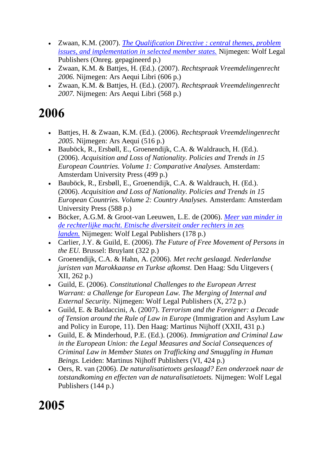- Zwaan, K.M. (2007). *[The Qualification Directive : central themes, problem](http://hdl.handle.net/2066/37466)  [issues, and implementation in selected member states.](http://hdl.handle.net/2066/37466)* Nijmegen: Wolf Legal Publishers (Onreg. gepagineerd p.)
- Zwaan, K.M. & Battjes, H. (Ed.). (2007). *Rechtspraak Vreemdelingenrecht 2006.* Nijmegen: Ars Aequi Libri (606 p.)
- Zwaan, K.M. & Battjes, H. (Ed.). (2007). *Rechtspraak Vreemdelingenrecht 2007.* Nijmegen: Ars Aequi Libri (568 p.)

- Battjes, H. & Zwaan, K.M. (Ed.). (2006). *Rechtspraak Vreemdelingenrecht 2005.* Nijmegen: Ars Aequi (516 p.)
- Bauböck, R., Ersbøll, E., Groenendijk, C.A. & Waldrauch, H. (Ed.). (2006). *Acquisition and Loss of Nationality. Policies and Trends in 15 European Countries. Volume 1: Comparative Analyses.* Amsterdam: Amsterdam University Press (499 p.)
- Bauböck, R., Ersbøll, E., Groenendijk, C.A. & Waldrauch, H. (Ed.). (2006). *Acquisition and Loss of Nationality. Policies and Trends in 15 European Countries. Volume 2: Country Analyses.* Amsterdam: Amsterdam University Press (588 p.)
- Böcker, A.G.M. & Groot-van Leeuwen, L.E. de (2006). *[Meer van minder in](http://hdl.handle.net/2066/54074)  [de rechterlijke macht. Etnische diversiteit onder rechters in zes](http://hdl.handle.net/2066/54074)  [landen.](http://hdl.handle.net/2066/54074)* Nijmegen: Wolf Legal Publishers (178 p.)
- Carlier, J.Y. & Guild, E. (2006). *The Future of Free Movement of Persons in the EU.* Brussel: Bruylant (322 p.)
- Groenendijk, C.A. & Hahn, A. (2006). *Met recht geslaagd. Nederlandse juristen van Marokkaanse en Turkse afkomst.* Den Haag: Sdu Uitgevers ( XII, 262 p.)
- Guild, E. (2006). *Constitutional Challenges to the European Arrest Warrant: a Challenge for European Law. The Merging of Internal and External Security.* Nijmegen: Wolf Legal Publishers (X, 272 p.)
- Guild, E. & Baldaccini, A. (2007). *Terrorism and the Foreigner: a Decade of Tension around the Rule of Law in Europe* (Immigration and Asylum Law and Policy in Europe, 11). Den Haag: Martinus Nijhoff (XXII, 431 p.)
- Guild, E. & Minderhoud, P.E. (Ed.). (2006). *Immigration and Criminal Law in the European Union: the Legal Measures and Social Consequences of Criminal Law in Member States on Trafficking and Smuggling in Human Beings.* Leiden: Martinus Nijhoff Publishers (VI, 424 p.)
- Oers, R. van (2006). *De naturalisatietoets geslaagd? Een onderzoek naar de totstandkoming en effecten van de naturalisatietoets.* Nijmegen: Wolf Legal Publishers (144 p.)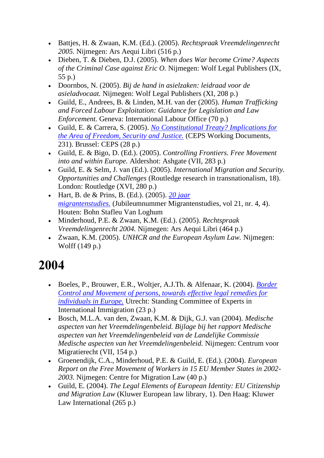- Battjes, H. & Zwaan, K.M. (Ed.). (2005). *Rechtspraak Vreemdelingenrecht 2005.* Nijmegen: Ars Aequi Libri (516 p.)
- Dieben, T. & Dieben, D.J. (2005). *When does War become Crime? Aspects of the Criminal Case against Eric O.* Nijmegen: Wolf Legal Publishers (IX, 55 p.)
- Doornbos, N. (2005). *Bij de hand in asielzaken: leidraad voor de asieladvocaat.* Nijmegen: Wolf Legal Publishers (XI, 208 p.)
- Guild, E., Andrees, B. & Linden, M.H. van der (2005). *Human Trafficking and Forced Labour Exploitation: Guidance for Legislation and Law Enforcement.* Geneva: International Labour Office (70 p.)
- Guild, E. & Carrera, S. (2005). *[No Constitutional Treaty? Implications for](http://shop.ceps.be/downfree.php?item_id=1266)  [the Area of Freedom, Security and Justice.](http://shop.ceps.be/downfree.php?item_id=1266)* (CEPS Working Documents, 231). Brussel: CEPS (28 p.)
- Guild, E. & Bigo, D. (Ed.). (2005). *Controlling Frontiers. Free Movement into and within Europe.* Aldershot: Ashgate (VII, 283 p.)
- Guild, E. & Selm, J. van (Ed.). (2005). *International Migration and Security. Opportunities and Challenges* (Routledge research in transnationalism, 18). London: Routledge (XVI, 280 p.)
- Hart, B. de & Prins, B. (Ed.). (2005). *[20 jaar](http://www.migrantenstudies.nl/inhoud/2005.htm##4)  [migrantenstudies.](http://www.migrantenstudies.nl/inhoud/2005.htm##4)* (Jubileumnummer Migrantenstudies, vol 21, nr. 4, 4). Houten: Bohn Stafleu Van Loghum
- Minderhoud, P.E. & Zwaan, K.M. (Ed.). (2005). *Rechtspraak Vreemdelingenrecht 2004.* Nijmegen: Ars Aequi Libri (464 p.)
- Zwaan, K.M. (2005). *UNHCR and the European Asylum Law.* Nijmegen: Wolff (149 p.)

- Boeles, P., Brouwer, E.R., Woltjer, A.J.Th. & Alfenaar, K. (2004). *Border Control and Movement of persons, towards effective legal remedies for individuals in Europe.* Utrecht: Standing Committee of Experts in International Immigration (23 p.)
- Bosch, M.L.A. van den, Zwaan, K.M. & Dijk, G.J. van (2004). *Medische aspecten van het Vreemdelingenbeleid. Bijlage bij het rapport Medische aspecten van het Vreemdelingenbeleid van de Landelijke Commissie Medische aspecten van het Vreemdelingenbeleid.* Nijmegen: Centrum voor Migratierecht (VII, 154 p.)
- Groenendijk, C.A., Minderhoud, P.E. & Guild, E. (Ed.). (2004). *European Report on the Free Movement of Workers in 15 EU Member States in 2002- 2003.* Nijmegen: Centre for Migration Law (40 p.)
- Guild, E. (2004). *The Legal Elements of European Identity: EU Citizenship and Migration Law* (Kluwer European law library, 1). Den Haag: Kluwer Law International (265 p.)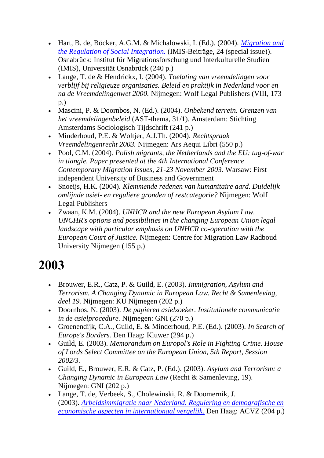- Hart, B. de, Böcker, A.G.M. & Michalowski, I. (Ed.). (2004). *[Migration and](http://www.imis.uni-osnabrueck.de/pdffiles/imis24.pdf)  [the Regulation of Social Integration.](http://www.imis.uni-osnabrueck.de/pdffiles/imis24.pdf)* (IMIS-Beiträge, 24 (special issue)). Osnabrück: Institut für Migrationsforschung und Interkulturelle Studien (IMIS), Universität Osnabrück (240 p.)
- Lange, T. de & Hendrickx, I. (2004). *Toelating van vreemdelingen voor verblijf bij religieuze organisaties. Beleid en praktijk in Nederland voor en na de Vreemdelingenwet 2000.* Nijmegen: Wolf Legal Publishers (VIII, 173 p.)
- Mascini, P. & Doornbos, N. (Ed.). (2004). *Onbekend terrein. Grenzen van het vreemdelingenbeleid* (AST-thema, 31/1). Amsterdam: Stichting Amsterdams Sociologisch Tijdschrift (241 p.)
- Minderhoud, P.E. & Woltjer, A.J.Th. (2004). *Rechtspraak Vreemdelingenrecht 2003.* Nijmegen: Ars Aequi Libri (550 p.)
- Pool, C.M. (2004). *Polish migrants, the Netherlands and the EU: tug-of-war in tiangle. Paper presented at the 4th International Conference Contemporary Migration Issues, 21-23 November 2003.* Warsaw: First independent University of Business and Government
- Snoeijs, H.K. (2004). *Klemmende redenen van humanitaire aard. Duidelijk omlijnde asiel- en reguliere gronden of restcategorie?* Nijmegen: Wolf Legal Publishers
- Zwaan, K.M. (2004). *UNHCR and the new European Asylum Law. UNCHR's options and possibilities in the changing European Union legal landscape with particular emphasis on UNHCR co-operation with the European Court of Justice.* Nijmegen: Centre for Migration Law Radboud University Nijmegen (155 p.)

- Brouwer, E.R., Catz, P. & Guild, E. (2003). *Immigration, Asylum and Terrorism. A Changing Dynamic in European Law. Recht & Samenleving, deel 19.* Nijmegen: KU Nijmegen (202 p.)
- Doornbos, N. (2003). *De papieren asielzoeker. Institutionele communicatie in de asielprocedure.* Nijmegen: GNI (270 p.)
- Groenendijk, C.A., Guild, E. & Minderhoud, P.E. (Ed.). (2003). *In Search of Europe's Borders.* Den Haag: Kluwer (294 p.)
- Guild, E. (2003). *Memorandum on Europol's Role in Fighting Crime. House of Lords Select Committee on the European Union, 5th Report, Session 2002/3.*
- Guild, E., Brouwer, E.R. & Catz, P. (Ed.). (2003). *Asylum and Terrorism: a Changing Dynamic in European Law* (Recht & Samenleving, 19). Nijmegen: GNI (202 p.)
- Lange, T. de, Verbeek, S., Cholewinski, R. & Doomernik, J. (2003). *[Arbeidsimmigratie naar Nederland. Regulering en demografische en](https://hdl.handle.net/2066/208208)  [economische aspecten in internationaal vergelijk.](https://hdl.handle.net/2066/208208)* Den Haag: ACVZ (204 p.)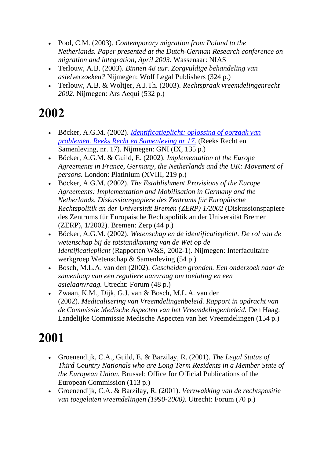- Pool, C.M. (2003). *Contemporary migration from Poland to the Netherlands. Paper presented at the Dutch-German Research conference on migration and integration, April 2003.* Wassenaar: NIAS
- Terlouw, A.B. (2003). *Binnen 48 uur. Zorgvuldige behandeling van asielverzoeken?* Nijmegen: Wolf Legal Publishers (324 p.)
- Terlouw, A.B. & Woltjer, A.J.Th. (2003). *Rechtspraak vreemdelingenrecht 2002.* Nijmegen: Ars Aequi (532 p.)

- Böcker, A.G.M. (2002). *[Identificatieplicht: oplossing of oorzaak van](http://hdl.handle.net/2066/31880)  [problemen. Reeks Recht en Samenleving nr 17.](http://hdl.handle.net/2066/31880)* (Reeks Recht en Samenleving, nr. 17). Nijmegen: GNI (IX, 135 p.)
- Böcker, A.G.M. & Guild, E. (2002). *Implementation of the Europe Agreements in France, Germany, the Netherlands and the UK: Movement of persons.* London: Platinium (XVIII, 219 p.)
- Böcker, A.G.M. (2002). *The Establishment Provisions of the Europe Agreements: Implementation and Mobilisation in Germany and the Netherlands. Diskussionspapiere des Zentrums für Europäische Rechtspolitik an der Universität Bremen (ZERP) 1/2002* (Diskussionspapiere des Zentrums für Europäische Rechtspolitik an der Universität Bremen (ZERP), 1/2002). Bremen: Zerp (44 p.)
- Böcker, A.G.M. (2002). *Wetenschap en de identificatieplicht. De rol van de wetenschap bij de totstandkoming van de Wet op de Identificatieplicht* (Rapporten W&S, 2002-1). Nijmegen: Interfacultaire werkgroep Wetenschap & Samenleving (54 p.)
- Bosch, M.L.A. van den (2002). *Gescheiden gronden. Een onderzoek naar de samenloop van een reguliere aanvraag om toelating en een asielaanvraag.* Utrecht: Forum (48 p.)
- Zwaan, K.M., Dijk, G.J. van & Bosch, M.L.A. van den (2002). *Medicalisering van Vreemdelingenbeleid. Rapport in opdracht van de Commissie Medische Aspecten van het Vreemdelingenbeleid.* Den Haag: Landelijke Commissie Medische Aspecten van het Vreemdelingen (154 p.)

- Groenendijk, C.A., Guild, E. & Barzilay, R. (2001). *The Legal Status of Third Country Nationals who are Long Term Residents in a Member State of the European Union.* Brussel: Office for Official Publications of the European Commission (113 p.)
- Groenendijk, C.A. & Barzilay, R. (2001). *Verzwakking van de rechtspositie van toegelaten vreemdelingen (1990-2000).* Utrecht: Forum (70 p.)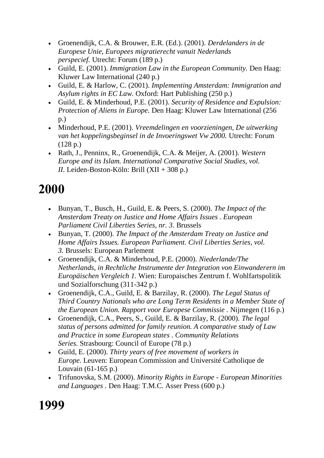- Groenendijk, C.A. & Brouwer, E.R. (Ed.). (2001). *Derdelanders in de Europese Unie, Europees migratierecht vanuit Nederlands perspecief.* Utrecht: Forum (189 p.)
- Guild, E. (2001). *Immigration Law in the European Community.* Den Haag: Kluwer Law International (240 p.)
- Guild, E. & Harlow, C. (2001). *Implementing Amsterdam: Immigration and Asylum rights in EC Law.* Oxford: Hart Publishing (250 p.)
- Guild, E. & Minderhoud, P.E. (2001). *Security of Residence and Expulsion: Protection of Aliens in Europe.* Den Haag: Kluwer Law International (256 p.)
- Minderhoud, P.E. (2001). *Vreemdelingen en voorzieningen, De uitwerking van het koppelingsbeginsel in de Invoeringswet Vw 2000.* Utrecht: Forum (128 p.)
- Rath, J., Penninx, R., Groenendijk, C.A. & Meijer, A. (2001). *Western Europe and its Islam. International Comparative Social Studies, vol. II.* Leiden-Boston-Köln: Brill (XII + 308 p.)

- Bunyan, T., Busch, H., Guild, E. & Peers, S. (2000). *The Impact of the Amsterdam Treaty on Justice and Home Affairs Issues . European Parliament Civil Liberties Series, nr. 3.* Brussels
- Bunyan, T. (2000). *The Impact of the Amsterdam Treaty on Justice and Home Affairs Issues. European Parliament. Civil Liberties Series, vol. 3.* Brussels: European Parlement
- Groenendijk, C.A. & Minderhoud, P.E. (2000). *Niederlande/The Netherlands, in Rechtliche Instrumente der Integration von Einwanderern im Europäischen Vergleich 1.* Wien: Europaisches Zentrum f. Wohlfartspolitik und Sozialforschung (311-342 p.)
- Groenendijk, C.A., Guild, E. & Barzilay, R. (2000). *The Legal Status of Third Country Nationals who are Long Term Residents in a Member State of the European Union. Rapport voor Europese Commissie .* Nijmegen (116 p.)
- Groenendijk, C.A., Peers, S., Guild, E. & Barzilay, R. (2000). *The legal status of persons admitted for family reunion. A comparative study of Law and Practice in some European states . Community Relations Series.* Strasbourg: Council of Europe (78 p.)
- Guild, E. (2000). *Thirty years of free movement of workers in Europe.* Leuven: European Commission and Université Catholique de Louvain (61-165 p.)
- Trifunovska, S.M. (2000). *Minority Rights in Europe - European Minorities and Languages .* Den Haag: T.M.C. Asser Press (600 p.)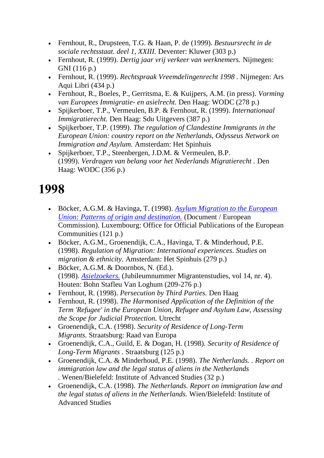- Fernhout, R., Drupsteen, T.G. & Haan, P. de (1999). *Bestuursrecht in de sociale rechtsstaat. deel 1, XXIII.* Deventer: Kluwer (303 p.)
- Fernhout, R. (1999). *Dertig jaar vrij verkeer van werknemers.* Nijmegen: GNI (116 p.)
- Fernhout, R. (1999). *Rechtspraak Vreemdelingenrecht 1998 .* Nijmegen: Ars Aqui Libri (434 p.)
- Fernhout, R., Boeles, P., Gerritsma, E. & Kuijpers, A.M. (in press). *Vorming van Europees Immigratie- en asielrecht.* Den Haag: WODC (278 p.)
- Spijkerboer, T.P., Vermeulen, B.P. & Fernhout, R. (1999). *Internationaal Immigratierecht.* Den Haag: Sdu Uitgevers (387 p.)
- Spijkerboer, T.P. (1999). *The regulation of Clandestine Immigrants in the European Union: country report on the Netherlands, Odysseus Network on Immigration and Asylum.* Amsterdam: Het Spinhuis
- Spijkerboer, T.P., Steenbergen, J.D.M. & Vermeulen, B.P. (1999). *Verdragen van belang voor het Nederlands Migratierecht .* Den Haag: WODC (356 p.)

- Böcker, A.G.M. & Havinga, T. (1998). *[Asylum Migration to the European](http://hdl.handle.net/2066/31898)  [Union: Patterns of origin and destination.](http://hdl.handle.net/2066/31898)* (Document / European Commission). Luxembourg: Office for Official Publications of the European Communities (121 p.)
- Böcker, A.G.M., Groenendijk, C.A., Havinga, T. & Minderhoud, P.E. (1998). *Regulation of Migration: International experiences. Studies on migration & ethnicity.* Amsterdam: Het Spinhuis (279 p.)
- Böcker, A.G.M. & Doornbos, N. (Ed.). (1998). *[Asielzoekers.](http://www.migrantenstudies.nl/inhoud/1998.htm)* (Jubileumnummer Migrantenstudies, vol 14, nr. 4). Houten: Bohn Stafleu Van Loghum (209-276 p.)
- Fernhout, R. (1998). *Persecution by Third Parties.* Den Haag
- Fernhout, R. (1998). *The Harmonised Application of the Definition of the Term 'Refugee' in the European Union, Refugee and Asylum Law, Assessing the Scope for Judicial Protection.* Utrecht
- Groenendijk, C.A. (1998). *Security of Residence of Long-Term Migrants.* Straatsburg: Raad van Europa
- Groenendijk, C.A., Guild, E. & Dogan, H. (1998). *Security of Residence of Long-Term Migrants .* Straatsburg (125 p.)
- Groenendijk, C.A. & Minderhoud, P.E. (1998). *The Netherlands. . Report on immigration law and the legal status of aliens in the Netherlands .* Wenen/Bielefeld: Institute of Advanced Studies (32 p.)
- Groenendijk, C.A. (1998). *The Netherlands. Report on immigration law and the legal status of aliens in the Netherlands.* Wien/Bielefeld: Institute of Advanced Studies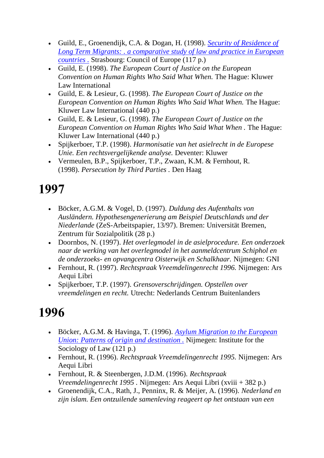- Guild, E., Groenendijk, C.A. & Dogan, H. (1998). *[Security of Residence of](http://hdl.handle.net/2066/180597)  [Long Term Migrants: . a comparative study of law and practice in European](http://hdl.handle.net/2066/180597)  [countries .](http://hdl.handle.net/2066/180597)* Strasbourg: Council of Europe (117 p.)
- Guild, E. (1998). *The European Court of Justice on the European Convention on Human Rights Who Said What When.* The Hague: Kluwer Law International
- Guild, E. & Lesieur, G. (1998). *The European Court of Justice on the European Convention on Human Rights Who Said What When.* The Hague: Kluwer Law International (440 p.)
- Guild, E. & Lesieur, G. (1998). *The European Court of Justice on the European Convention on Human Rights Who Said What When .* The Hague: Kluwer Law International (440 p.)
- Spijkerboer, T.P. (1998). *Harmonisatie van het asielrecht in de Europese Unie. Een rechtsvergelijkende analyse.* Deventer: Kluwer
- Vermeulen, B.P., Spijkerboer, T.P., Zwaan, K.M. & Fernhout, R. (1998). *Persecution by Third Parties .* Den Haag

- Böcker, A.G.M. & Vogel, D. (1997). *Duldung des Aufenthalts von Ausländern. Hypothesengenerierung am Beispiel Deutschlands und der Niederlande* (ZeS-Arbeitspapier, 13/97). Bremen: Universität Bremen, Zentrum für Sozialpolitik (28 p.)
- Doornbos, N. (1997). *Het overlegmodel in de asielprocedure. Een onderzoek naar de werking van het overlegmodel in het aanmeldcentrum Schiphol en de onderzoeks- en opvangcentra Oisterwijk en Schalkhaar.* Nijmegen: GNI
- Fernhout, R. (1997). *Rechtspraak Vreemdelingenrecht 1996.* Nijmegen: Ars Aequi Libri
- Spijkerboer, T.P. (1997). *Grensoverschrijdingen. Opstellen over vreemdelingen en recht.* Utrecht: Nederlands Centrum Buitenlanders

- Böcker, A.G.M. & Havinga, T. (1996). *[Asylum Migration to the European](http://hdl.handle.net/2066/31905)  [Union: Patterns of origin and destination .](http://hdl.handle.net/2066/31905)* Nijmegen: Institute for the Sociology of Law (121 p.)
- Fernhout, R. (1996). *Rechtspraak Vreemdelingenrecht 1995.* Nijmegen: Ars Aequi Libri
- Fernhout, R. & Steenbergen, J.D.M. (1996). *Rechtspraak Vreemdelingenrecht 1995 .* Nijmegen: Ars Aequi Libri (xviii + 382 p.)
- Groenendijk, C.A., Rath, J., Penninx, R. & Meijer, A. (1996). *Nederland en zijn islam. Een ontzuilende samenleving reageert op het ontstaan van een*